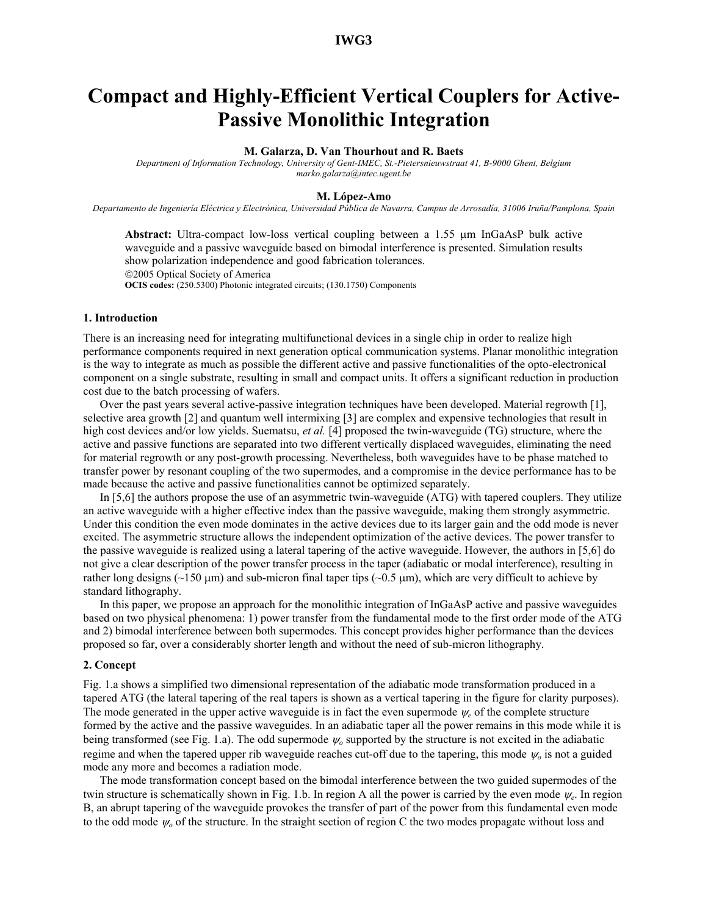# **IWG3**

# **Compact and Highly-Efficient Vertical Couplers for Active-Passive Monolithic Integration**

#### **M. Galarza, D. Van Thourhout and R. Baets**

*Department of Information Technology, University of Gent-IMEC, St.-Pietersnieuwstraat 41, B-9000 Ghent, Belgium marko.galarza@intec.ugent.be* 

#### **M. López-Amo**

*Departamento de Ingeniería Eléctrica y Electrónica, Universidad Pública de Navarra, Campus de Arrosadía, 31006 Iruña/Pamplona, Spain* 

**Abstract:** Ultra-compact low-loss vertical coupling between a 1.55 µm InGaAsP bulk active waveguide and a passive waveguide based on bimodal interference is presented. Simulation results show polarization independence and good fabrication tolerances. 2005 Optical Society of America **OCIS codes:** (250.5300) Photonic integrated circuits; (130.1750) Components

# **1. Introduction**

There is an increasing need for integrating multifunctional devices in a single chip in order to realize high performance components required in next generation optical communication systems. Planar monolithic integration is the way to integrate as much as possible the different active and passive functionalities of the opto-electronical component on a single substrate, resulting in small and compact units. It offers a significant reduction in production cost due to the batch processing of wafers.

Over the past years several active-passive integration techniques have been developed. Material regrowth [1], selective area growth [2] and quantum well intermixing [3] are complex and expensive technologies that result in high cost devices and/or low yields. Suematsu, *et al.* [4] proposed the twin-waveguide (TG) structure, where the active and passive functions are separated into two different vertically displaced waveguides, eliminating the need for material regrowth or any post-growth processing. Nevertheless, both waveguides have to be phase matched to transfer power by resonant coupling of the two supermodes, and a compromise in the device performance has to be made because the active and passive functionalities cannot be optimized separately.

In [5,6] the authors propose the use of an asymmetric twin-waveguide (ATG) with tapered couplers. They utilize an active waveguide with a higher effective index than the passive waveguide, making them strongly asymmetric. Under this condition the even mode dominates in the active devices due to its larger gain and the odd mode is never excited. The asymmetric structure allows the independent optimization of the active devices. The power transfer to the passive waveguide is realized using a lateral tapering of the active waveguide. However, the authors in [5,6] do not give a clear description of the power transfer process in the taper (adiabatic or modal interference), resulting in rather long designs ( $\sim$ 150 µm) and sub-micron final taper tips ( $\sim$ 0.5 µm), which are very difficult to achieve by standard lithography.

In this paper, we propose an approach for the monolithic integration of InGaAsP active and passive waveguides based on two physical phenomena: 1) power transfer from the fundamental mode to the first order mode of the ATG and 2) bimodal interference between both supermodes. This concept provides higher performance than the devices proposed so far, over a considerably shorter length and without the need of sub-micron lithography.

# **2. Concept**

Fig. 1.a shows a simplified two dimensional representation of the adiabatic mode transformation produced in a tapered ATG (the lateral tapering of the real tapers is shown as a vertical tapering in the figure for clarity purposes). The mode generated in the upper active waveguide is in fact the even supermode  $\psi_e$  of the complete structure formed by the active and the passive waveguides. In an adiabatic taper all the power remains in this mode while it is being transformed (see Fig. 1.a). The odd supermode <sup>ψ</sup>*o* supported by the structure is not excited in the adiabatic regime and when the tapered upper rib waveguide reaches cut-off due to the tapering, this mode <sup>ψ</sup>*o* is not a guided mode any more and becomes a radiation mode.

The mode transformation concept based on the bimodal interference between the two guided supermodes of the twin structure is schematically shown in Fig. 1.b. In region A all the power is carried by the even mode <sup>ψ</sup>*e*. In region B, an abrupt tapering of the waveguide provokes the transfer of part of the power from this fundamental even mode to the odd mode <sup>ψ</sup>*o* of the structure. In the straight section of region C the two modes propagate without loss and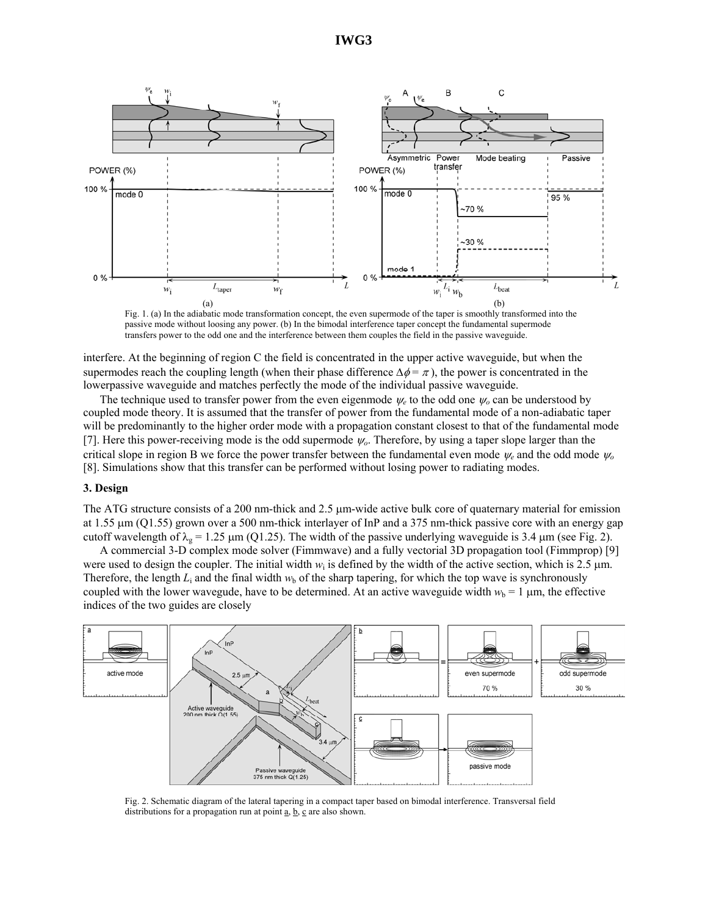

Fig. 1. (a) In the adiabatic mode transformation concept, the even supermode of the taper is smoothly transformed into the passive mode without loosing any power. (b) In the bimodal interference taper concept the fundamental supermode transfers power to the odd one and the interference between them couples the field in the passive waveguide.

interfere. At the beginning of region C the field is concentrated in the upper active waveguide, but when the supermodes reach the coupling length (when their phase difference  $\Delta \phi = \pi$ ), the power is concentrated in the lowerpassive waveguide and matches perfectly the mode of the individual passive waveguide.

The technique used to transfer power from the even eigenmode  $\psi_e$  to the odd one  $\psi_o$  can be understood by coupled mode theory. It is assumed that the transfer of power from the fundamental mode of a non-adiabatic taper will be predominantly to the higher order mode with a propagation constant closest to that of the fundamental mode [7]. Here this power-receiving mode is the odd supermode <sup>ψ</sup>*o*. Therefore, by using a taper slope larger than the critical slope in region B we force the power transfer between the fundamental even mode <sup>ψ</sup>*e* and the odd mode <sup>ψ</sup>*<sup>o</sup>* [8]. Simulations show that this transfer can be performed without losing power to radiating modes.

### **3. Design**

The ATG structure consists of a 200 nm-thick and 2.5  $\mu$ m-wide active bulk core of quaternary material for emission at 1.55 µm (Q1.55) grown over a 500 nm-thick interlayer of InP and a 375 nm-thick passive core with an energy gap cutoff wavelength of  $\lambda_g = 1.25 \mu m$  (Q1.25). The width of the passive underlying waveguide is 3.4  $\mu$ m (see Fig. 2).

A commercial 3-D complex mode solver (Fimmwave) and a fully vectorial 3D propagation tool (Fimmprop) [9] were used to design the coupler. The initial width  $w_i$  is defined by the width of the active section, which is 2.5  $\mu$ m. Therefore, the length  $L_i$  and the final width  $w_b$  of the sharp tapering, for which the top wave is synchronously coupled with the lower wavegude, have to be determined. At an active waveguide width  $w_b = 1 \mu m$ , the effective indices of the two guides are closely



Fig. 2. Schematic diagram of the lateral tapering in a compact taper based on bimodal interference. Transversal field distributions for a propagation run at point  $a, b, c$  are also shown.